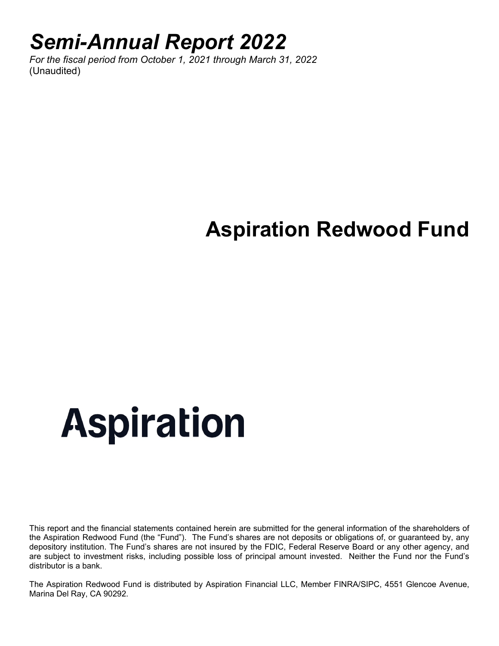### *Semi-Annual Report 2022*

*For the fiscal period from October 1, 2021 through March 31, 2022*  (Unaudited)

## **Aspiration Redwood Fund**

# **Aspiration**

This report and the financial statements contained herein are submitted for the general information of the shareholders of the Aspiration Redwood Fund (the "Fund"). The Fund's shares are not deposits or obligations of, or guaranteed by, any depository institution. The Fund's shares are not insured by the FDIC, Federal Reserve Board or any other agency, and are subject to investment risks, including possible loss of principal amount invested. Neither the Fund nor the Fund's distributor is a bank.

The Aspiration Redwood Fund is distributed by Aspiration Financial LLC, Member FINRA/SIPC, 4551 Glencoe Avenue, Marina Del Ray, CA 90292.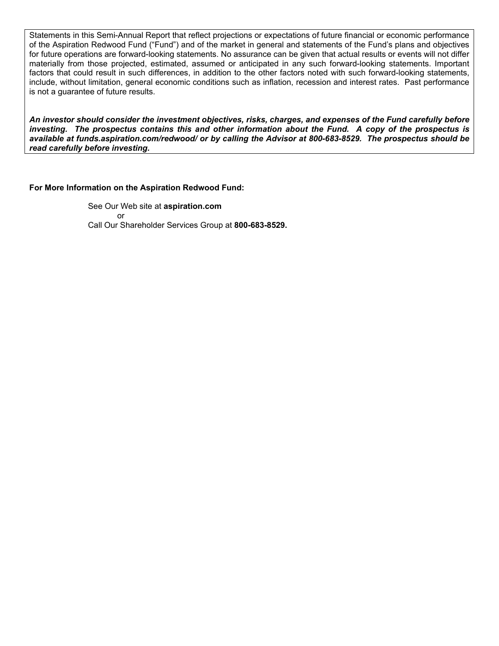Statements in this Semi-Annual Report that reflect projections or expectations of future financial or economic performance of the Aspiration Redwood Fund ("Fund") and of the market in general and statements of the Fund's plans and objectives for future operations are forward-looking statements. No assurance can be given that actual results or events will not differ materially from those projected, estimated, assumed or anticipated in any such forward-looking statements. Important factors that could result in such differences, in addition to the other factors noted with such forward-looking statements, include, without limitation, general economic conditions such as inflation, recession and interest rates. Past performance is not a guarantee of future results.

*An investor should consider the investment objectives, risks, charges, and expenses of the Fund carefully before investing. The prospectus contains this and other information about the Fund. A copy of the prospectus is available at funds.aspiration.com/redwood/ or by calling the Advisor at 800-683-8529. The prospectus should be read carefully before investing.*

#### **For More Information on the Aspiration Redwood Fund:**

See Our Web site at **aspiration.com** or Call Our Shareholder Services Group at **800-683-8529.**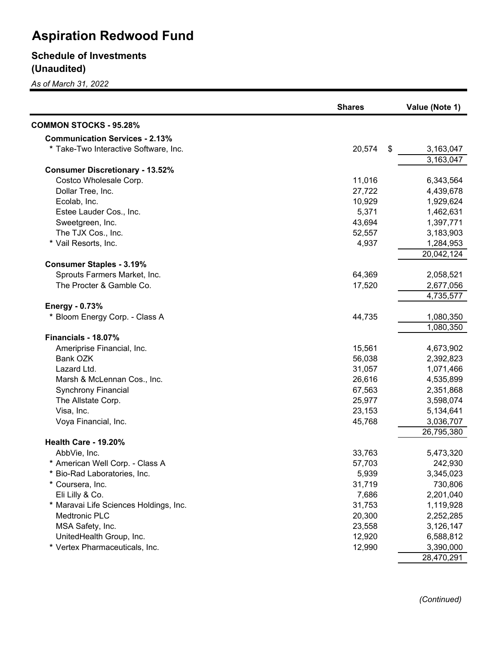### **Schedule of Investments (Unaudited)**

*As of March 31, 2022*

|                                        | <b>Shares</b> | Value (Note 1) |
|----------------------------------------|---------------|----------------|
| <b>COMMON STOCKS - 95.28%</b>          |               |                |
| <b>Communication Services - 2.13%</b>  |               |                |
| * Take-Two Interactive Software, Inc.  | 20,574<br>\$  | 3,163,047      |
|                                        |               | 3,163,047      |
| <b>Consumer Discretionary - 13.52%</b> |               |                |
| Costco Wholesale Corp.                 | 11,016        | 6,343,564      |
| Dollar Tree, Inc.                      | 27,722        | 4,439,678      |
| Ecolab, Inc.                           | 10,929        | 1,929,624      |
| Estee Lauder Cos., Inc.                | 5,371         | 1,462,631      |
| Sweetgreen, Inc.                       | 43,694        | 1,397,771      |
| The TJX Cos., Inc.                     | 52,557        | 3,183,903      |
| * Vail Resorts, Inc.                   | 4,937         | 1,284,953      |
|                                        |               | 20,042,124     |
| <b>Consumer Staples - 3.19%</b>        |               |                |
| Sprouts Farmers Market, Inc.           | 64,369        | 2,058,521      |
| The Procter & Gamble Co.               | 17,520        | 2,677,056      |
|                                        |               | 4,735,577      |
| <b>Energy - 0.73%</b>                  |               |                |
| * Bloom Energy Corp. - Class A         | 44,735        | 1,080,350      |
|                                        |               | 1,080,350      |
| Financials - 18.07%                    |               |                |
| Ameriprise Financial, Inc.             | 15,561        | 4,673,902      |
| Bank OZK                               | 56,038        | 2,392,823      |
| Lazard Ltd.                            | 31,057        | 1,071,466      |
| Marsh & McLennan Cos., Inc.            | 26,616        | 4,535,899      |
| <b>Synchrony Financial</b>             | 67,563        | 2,351,868      |
| The Allstate Corp.                     | 25,977        | 3,598,074      |
| Visa, Inc.                             | 23,153        | 5,134,641      |
| Voya Financial, Inc.                   | 45,768        | 3,036,707      |
|                                        |               | 26,795,380     |
| <b>Health Care - 19.20%</b>            |               |                |
| AbbVie, Inc.                           | 33,763        | 5,473,320      |
| * American Well Corp. - Class A        | 57,703        | 242,930        |
| * Bio-Rad Laboratories, Inc.           | 5,939         | 3,345,023      |
| * Coursera, Inc.                       | 31,719        | 730,806        |
| Eli Lilly & Co.                        | 7,686         | 2,201,040      |
| * Maravai Life Sciences Holdings, Inc. | 31,753        | 1,119,928      |
| Medtronic PLC                          | 20,300        | 2,252,285      |
| MSA Safety, Inc.                       | 23,558        | 3,126,147      |
| UnitedHealth Group, Inc.               | 12,920        | 6,588,812      |
| * Vertex Pharmaceuticals, Inc.         | 12,990        | 3,390,000      |
|                                        |               | 28,470,291     |

*(Continued)*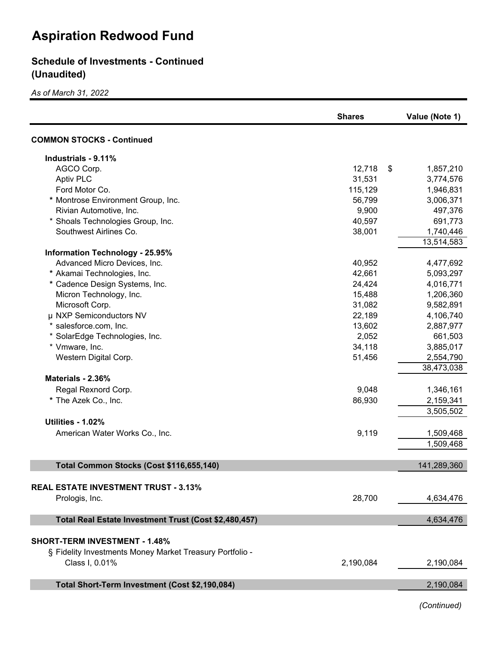#### **Schedule of Investments - Continued (Unaudited)**

*As of March 31, 2022*

|                                                          | <b>Shares</b> | Value (Note 1)  |
|----------------------------------------------------------|---------------|-----------------|
| <b>COMMON STOCKS - Continued</b>                         |               |                 |
| Industrials - 9.11%                                      |               |                 |
| AGCO Corp.                                               | 12,718        | \$<br>1,857,210 |
| <b>Aptiv PLC</b>                                         | 31,531        | 3,774,576       |
| Ford Motor Co.                                           | 115,129       | 1,946,831       |
| * Montrose Environment Group, Inc.                       | 56,799        | 3,006,371       |
| Rivian Automotive, Inc.                                  | 9,900         | 497,376         |
| * Shoals Technologies Group, Inc.                        | 40,597        | 691,773         |
| Southwest Airlines Co.                                   | 38,001        | 1,740,446       |
|                                                          |               | 13,514,583      |
| <b>Information Technology - 25.95%</b>                   |               |                 |
| Advanced Micro Devices, Inc.                             | 40,952        | 4,477,692       |
| * Akamai Technologies, Inc.                              | 42,661        | 5,093,297       |
| * Cadence Design Systems, Inc.                           | 24,424        | 4,016,771       |
| Micron Technology, Inc.                                  | 15,488        | 1,206,360       |
| Microsoft Corp.                                          | 31,082        | 9,582,891       |
| µ NXP Semiconductors NV                                  | 22,189        | 4,106,740       |
| * salesforce.com, Inc.                                   | 13,602        | 2,887,977       |
| * SolarEdge Technologies, Inc.                           | 2,052         | 661,503         |
| * Vmware, Inc.                                           | 34,118        | 3,885,017       |
| Western Digital Corp.                                    | 51,456        | 2,554,790       |
|                                                          |               | 38,473,038      |
| Materials - 2.36%                                        |               |                 |
| Regal Rexnord Corp.                                      | 9,048         | 1,346,161       |
| * The Azek Co., Inc.                                     | 86,930        | 2,159,341       |
|                                                          |               | 3,505,502       |
| <b>Utilities - 1.02%</b>                                 |               |                 |
| American Water Works Co., Inc.                           | 9,119         | 1,509,468       |
|                                                          |               | 1,509,468       |
|                                                          |               |                 |
| Total Common Stocks (Cost \$116,655,140)                 |               | 141,289,360     |
|                                                          |               |                 |
| <b>REAL ESTATE INVESTMENT TRUST - 3.13%</b>              |               |                 |
| Prologis, Inc.                                           | 28,700        | 4,634,476       |
|                                                          |               |                 |
| Total Real Estate Investment Trust (Cost \$2,480,457)    |               | 4,634,476       |
|                                                          |               |                 |
| <b>SHORT-TERM INVESTMENT - 1.48%</b>                     |               |                 |
| § Fidelity Investments Money Market Treasury Portfolio - |               |                 |
| Class I, 0.01%                                           | 2,190,084     | 2,190,084       |
|                                                          |               |                 |
| Total Short-Term Investment (Cost \$2,190,084)           |               | 2,190,084       |
|                                                          |               |                 |

*(Continued)*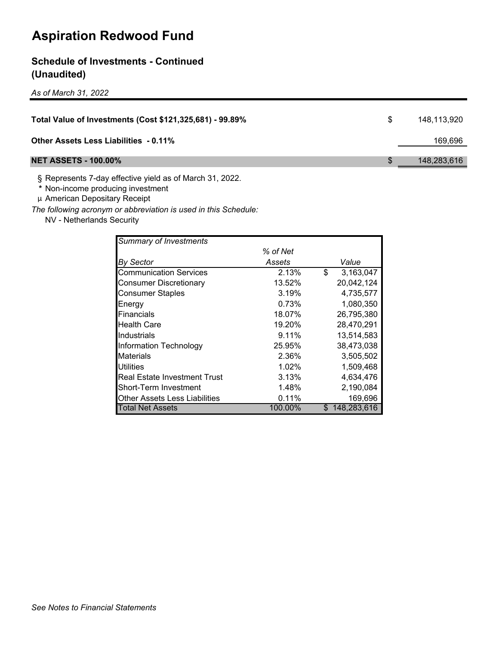#### **Schedule of Investments - Continued (Unaudited)**

*As of March 31, 2022*

| Total Value of Investments (Cost \$121,325,681) - 99.89% | 148.113.920 |
|----------------------------------------------------------|-------------|
| <b>Other Assets Less Liabilities - 0.11%</b>             | 169.696     |
| <b>NET ASSETS - 100.00%</b>                              | 148,283,616 |

§ Represents 7-day effective yield as of March 31, 2022.

**\*** Non-income producing investment

µ American Depositary Receipt

*The following acronym or abbreviation is used in this Schedule:*

NV - Netherlands Security

| <b>Summary of Investments</b>       |          |    |             |
|-------------------------------------|----------|----|-------------|
|                                     | % of Net |    |             |
| <b>By Sector</b>                    | Assets   |    | Value       |
| <b>Communication Services</b>       | 2.13%    | \$ | 3,163,047   |
| <b>Consumer Discretionary</b>       | 13.52%   |    | 20,042,124  |
| <b>Consumer Staples</b>             | 3.19%    |    | 4,735,577   |
| Energy                              | 0.73%    |    | 1,080,350   |
| <b>IFinancials</b>                  | 18.07%   |    | 26,795,380  |
| <b>Health Care</b>                  | 19.20%   |    | 28,470,291  |
| Industrials                         | 9.11%    |    | 13,514,583  |
| Information Technology              | 25.95%   |    | 38,473,038  |
| Materials                           | 2.36%    |    | 3,505,502   |
| <b>Utilities</b>                    | 1.02%    |    | 1,509,468   |
| <b>Real Estate Investment Trust</b> | 3.13%    |    | 4,634,476   |
| <b>Short-Term Investment</b>        | 1.48%    |    | 2,190,084   |
| Other Assets Less Liabilities       | 0.11%    |    | 169,696     |
| Total Net Assets                    | 100.00%  | S  | 148,283,616 |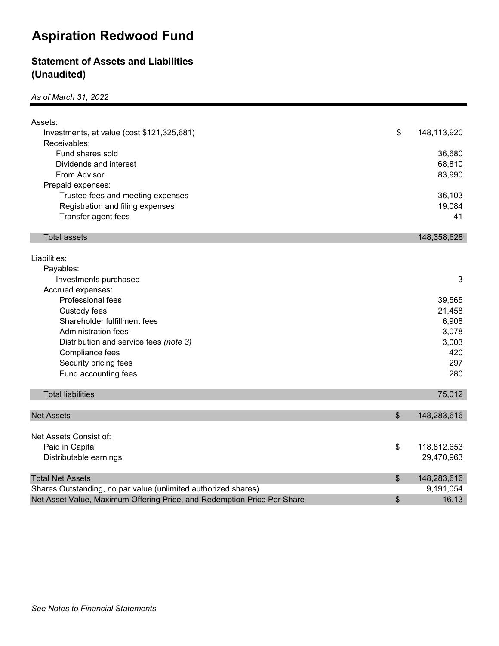#### **Statement of Assets and Liabilities (Unaudited)**

*As of March 31, 2022*

| Assets:                                                                 |                   |
|-------------------------------------------------------------------------|-------------------|
| Investments, at value (cost \$121,325,681)                              | \$<br>148,113,920 |
| Receivables:                                                            |                   |
| Fund shares sold                                                        | 36,680            |
| Dividends and interest                                                  | 68,810            |
| From Advisor                                                            | 83,990            |
| Prepaid expenses:                                                       |                   |
| Trustee fees and meeting expenses                                       | 36,103            |
| Registration and filing expenses                                        | 19,084            |
| Transfer agent fees                                                     | 41                |
|                                                                         |                   |
| <b>Total assets</b>                                                     | 148,358,628       |
|                                                                         |                   |
| Liabilities:                                                            |                   |
| Payables:                                                               |                   |
| Investments purchased                                                   | 3                 |
| Accrued expenses:                                                       |                   |
| Professional fees                                                       | 39,565            |
| Custody fees                                                            | 21,458            |
| Shareholder fulfillment fees                                            | 6,908             |
| <b>Administration fees</b>                                              | 3,078             |
| Distribution and service fees (note 3)                                  | 3,003             |
| Compliance fees                                                         | 420               |
| Security pricing fees                                                   | 297               |
| Fund accounting fees                                                    | 280               |
|                                                                         |                   |
| <b>Total liabilities</b>                                                | 75,012            |
| <b>Net Assets</b>                                                       | \$<br>148,283,616 |
|                                                                         |                   |
| Net Assets Consist of:                                                  |                   |
| Paid in Capital                                                         | \$<br>118,812,653 |
| Distributable earnings                                                  | 29,470,963        |
|                                                                         |                   |
| <b>Total Net Assets</b>                                                 | \$<br>148,283,616 |
| Shares Outstanding, no par value (unlimited authorized shares)          | 9,191,054         |
| Net Asset Value, Maximum Offering Price, and Redemption Price Per Share | \$<br>16.13       |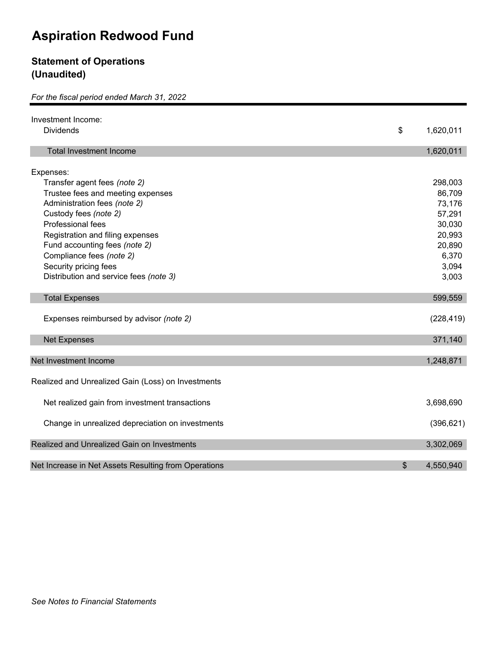#### **Statement of Operations (Unaudited)**

#### *For the fiscal period ended March 31, 2022*

| Investment Income:<br><b>Dividends</b>               |                            |
|------------------------------------------------------|----------------------------|
|                                                      | \$<br>1,620,011            |
| <b>Total Investment Income</b>                       | 1,620,011                  |
| Expenses:                                            |                            |
| Transfer agent fees (note 2)                         | 298,003                    |
| Trustee fees and meeting expenses                    | 86,709                     |
| Administration fees (note 2)                         | 73,176                     |
| Custody fees (note 2)                                | 57,291                     |
| Professional fees                                    | 30,030                     |
| Registration and filing expenses                     | 20,993                     |
| Fund accounting fees (note 2)                        | 20,890                     |
| Compliance fees (note 2)                             | 6,370                      |
| Security pricing fees                                | 3,094                      |
| Distribution and service fees (note 3)               | 3,003                      |
| <b>Total Expenses</b>                                | 599,559                    |
| Expenses reimbursed by advisor (note 2)              | (228, 419)                 |
| <b>Net Expenses</b>                                  | 371,140                    |
| Net Investment Income                                | 1,248,871                  |
|                                                      |                            |
| Realized and Unrealized Gain (Loss) on Investments   |                            |
| Net realized gain from investment transactions       | 3,698,690                  |
| Change in unrealized depreciation on investments     | (396, 621)                 |
| Realized and Unrealized Gain on Investments          | 3,302,069                  |
|                                                      |                            |
| Net Increase in Net Assets Resulting from Operations | $\frac{1}{2}$<br>4,550,940 |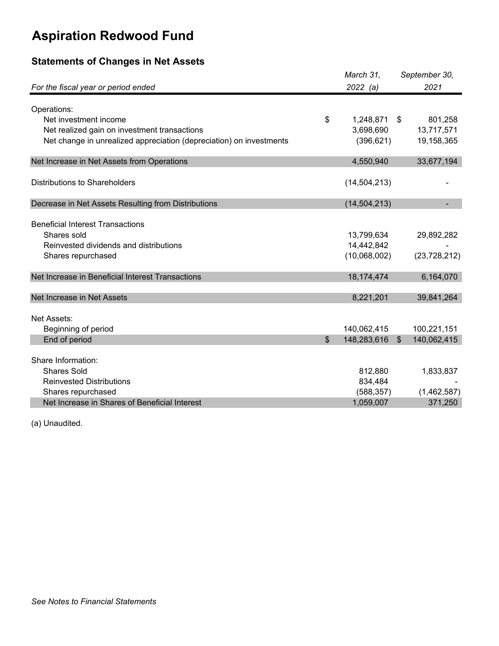### **Statements of Changes in Net Assets**

|                                                                     | March 31,         |               | September 30,  |
|---------------------------------------------------------------------|-------------------|---------------|----------------|
| For the fiscal year or period ended                                 | 2022(a)           |               | 2021           |
| Operations:                                                         |                   |               |                |
| Net investment income                                               | \$<br>1,248,871   | - \$          | 801,258        |
| Net realized gain on investment transactions                        | 3,698,690         |               | 13,717,571     |
| Net change in unrealized appreciation (depreciation) on investments | (396, 621)        |               | 19,158,365     |
|                                                                     |                   |               |                |
| Net Increase in Net Assets from Operations                          | 4,550,940         |               | 33,677,194     |
| <b>Distributions to Shareholders</b>                                | (14, 504, 213)    |               |                |
|                                                                     |                   |               |                |
| Decrease in Net Assets Resulting from Distributions                 | (14, 504, 213)    |               |                |
|                                                                     |                   |               |                |
| <b>Beneficial Interest Transactions</b>                             |                   |               |                |
| Shares sold                                                         | 13,799,634        |               | 29,892,282     |
| Reinvested dividends and distributions                              | 14,442,842        |               |                |
| Shares repurchased                                                  | (10,068,002)      |               | (23, 728, 212) |
| Net Increase in Beneficial Interest Transactions                    | 18,174,474        |               | 6,164,070      |
|                                                                     |                   |               |                |
| Net Increase in Net Assets                                          | 8,221,201         |               | 39,841,264     |
| Net Assets:                                                         |                   |               |                |
| Beginning of period                                                 | 140,062,415       |               | 100,221,151    |
| End of period                                                       | \$<br>148,283,616 | $\sqrt[6]{3}$ | 140,062,415    |
|                                                                     |                   |               |                |
| Share Information:                                                  |                   |               |                |
| <b>Shares Sold</b>                                                  | 812,880           |               | 1,833,837      |
| <b>Reinvested Distributions</b>                                     | 834,484           |               |                |
| Shares repurchased                                                  | (588, 357)        |               | (1,462,587)    |
| Net Increase in Shares of Beneficial Interest                       | 1,059,007         |               | 371,250        |

(a) Unaudited.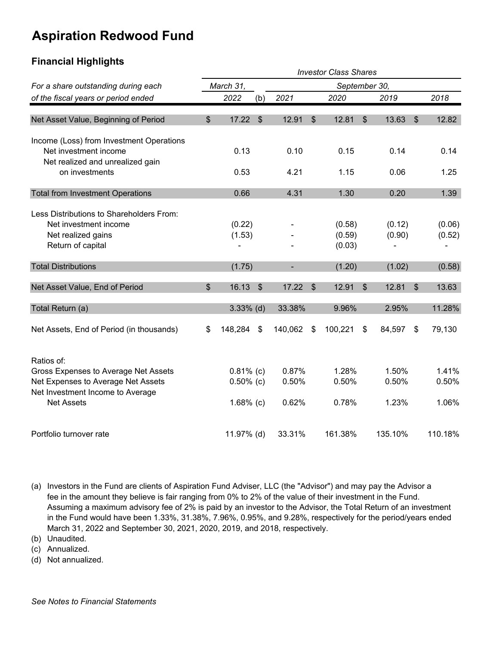#### **Financial Highlights**

| <b>Investor Class Shares</b>                                                                                 |                            |                  |                |         |               |                            |               |                  |    |                  |
|--------------------------------------------------------------------------------------------------------------|----------------------------|------------------|----------------|---------|---------------|----------------------------|---------------|------------------|----|------------------|
| For a share outstanding during each                                                                          | March 31,<br>September 30, |                  |                |         |               |                            |               |                  |    |                  |
| of the fiscal years or period ended                                                                          |                            | 2022             | (b)            | 2021    |               | 2020                       |               | 2019             |    | 2018             |
| Net Asset Value, Beginning of Period                                                                         | $\mathfrak{S}$             | 17.22            | $\mathfrak{S}$ | 12.91   | \$            | 12.81                      | $\mathcal{S}$ | 13.63            | \$ | 12.82            |
| Income (Loss) from Investment Operations<br>Net investment income<br>Net realized and unrealized gain        |                            | 0.13             |                | 0.10    |               | 0.15                       |               | 0.14             |    | 0.14             |
| on investments                                                                                               |                            | 0.53             |                | 4.21    |               | 1.15                       |               | 0.06             |    | 1.25             |
| <b>Total from Investment Operations</b>                                                                      |                            | 0.66             |                | 4.31    |               | 1.30                       |               | 0.20             |    | 1.39             |
| Less Distributions to Shareholders From:<br>Net investment income<br>Net realized gains<br>Return of capital |                            | (0.22)<br>(1.53) |                |         |               | (0.58)<br>(0.59)<br>(0.03) |               | (0.12)<br>(0.90) |    | (0.06)<br>(0.52) |
| <b>Total Distributions</b>                                                                                   |                            | (1.75)           |                |         |               | (1.20)                     |               | (1.02)           |    | (0.58)           |
| Net Asset Value, End of Period                                                                               | $\mathfrak{S}$             | 16.13            | $\mathfrak{S}$ | 17.22   | $\mathcal{S}$ | 12.91                      | $\mathcal{S}$ | 12.81            | \$ | 13.63            |
| Total Return (a)                                                                                             |                            | $3.33\%$ (d)     |                | 33.38%  |               | 9.96%                      |               | 2.95%            |    | 11.28%           |
| Net Assets, End of Period (in thousands)                                                                     | \$                         | 148,284          | \$             | 140,062 | \$            | 100,221                    | \$            | 84,597           | \$ | 79,130           |
| Ratios of:                                                                                                   |                            |                  |                |         |               |                            |               |                  |    |                  |
| Gross Expenses to Average Net Assets                                                                         |                            | $0.81\%$ (c)     |                | 0.87%   |               | 1.28%                      |               | 1.50%            |    | 1.41%            |
| Net Expenses to Average Net Assets<br>Net Investment Income to Average                                       |                            | $0.50\%$ (c)     |                | 0.50%   |               | 0.50%                      |               | 0.50%            |    | 0.50%            |
| <b>Net Assets</b>                                                                                            |                            | $1.68%$ (c)      |                | 0.62%   |               | 0.78%                      |               | 1.23%            |    | 1.06%            |
| Portfolio turnover rate                                                                                      |                            | 11.97% (d)       |                | 33.31%  |               | 161.38%                    |               | 135.10%          |    | 110.18%          |

(a) Investors in the Fund are clients of Aspiration Fund Adviser, LLC (the "Advisor") and may pay the Advisor a fee in the amount they believe is fair ranging from 0% to 2% of the value of their investment in the Fund. Assuming a maximum advisory fee of 2% is paid by an investor to the Advisor, the Total Return of an investment in the Fund would have been 1.33%, 31.38%, 7.96%, 0.95%, and 9.28%, respectively for the period/years ended March 31, 2022 and September 30, 2021, 2020, 2019, and 2018, respectively.

(b) Unaudited.

(c) Annualized.

(d) Not annualized.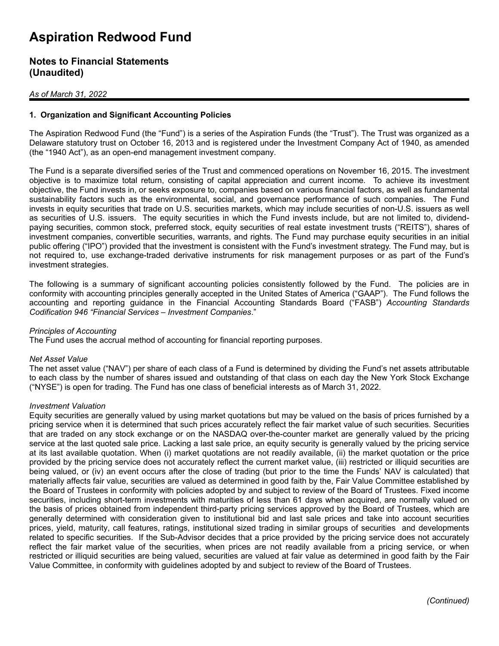#### **Notes to Financial Statements (Unaudited)**

#### *As of March 31, 2022*

#### **1. Organization and Significant Accounting Policies**

The Aspiration Redwood Fund (the "Fund") is a series of the Aspiration Funds (the "Trust"). The Trust was organized as a Delaware statutory trust on October 16, 2013 and is registered under the Investment Company Act of 1940, as amended (the "1940 Act"), as an open-end management investment company.

The Fund is a separate diversified series of the Trust and commenced operations on November 16, 2015. The investment objective is to maximize total return, consisting of capital appreciation and current income. To achieve its investment objective, the Fund invests in, or seeks exposure to, companies based on various financial factors, as well as fundamental sustainability factors such as the environmental, social, and governance performance of such companies. The Fund invests in equity securities that trade on U.S. securities markets, which may include securities of non-U.S. issuers as well as securities of U.S. issuers. The equity securities in which the Fund invests include, but are not limited to, dividendpaying securities, common stock, preferred stock, equity securities of real estate investment trusts ("REITS"), shares of investment companies, convertible securities, warrants, and rights. The Fund may purchase equity securities in an initial public offering ("IPO") provided that the investment is consistent with the Fund's investment strategy. The Fund may, but is not required to, use exchange-traded derivative instruments for risk management purposes or as part of the Fund's investment strategies.

The following is a summary of significant accounting policies consistently followed by the Fund. The policies are in conformity with accounting principles generally accepted in the United States of America ("GAAP"). The Fund follows the accounting and reporting guidance in the Financial Accounting Standards Board ("FASB") *Accounting Standards Codification 946 "Financial Services – Investment Companies*."

#### *Principles of Accounting*

The Fund uses the accrual method of accounting for financial reporting purposes.

#### *Net Asset Value*

The net asset value ("NAV") per share of each class of a Fund is determined by dividing the Fund's net assets attributable to each class by the number of shares issued and outstanding of that class on each day the New York Stock Exchange ("NYSE") is open for trading. The Fund has one class of beneficial interests as of March 31, 2022.

#### *Investment Valuation*

Equity securities are generally valued by using market quotations but may be valued on the basis of prices furnished by a pricing service when it is determined that such prices accurately reflect the fair market value of such securities. Securities that are traded on any stock exchange or on the NASDAQ over-the-counter market are generally valued by the pricing service at the last quoted sale price. Lacking a last sale price, an equity security is generally valued by the pricing service at its last available quotation. When (i) market quotations are not readily available, (ii) the market quotation or the price provided by the pricing service does not accurately reflect the current market value, (iii) restricted or illiquid securities are being valued, or (iv) an event occurs after the close of trading (but prior to the time the Funds' NAV is calculated) that materially affects fair value, securities are valued as determined in good faith by the, Fair Value Committee established by the Board of Trustees in conformity with policies adopted by and subject to review of the Board of Trustees. Fixed income securities, including short-term investments with maturities of less than 61 days when acquired, are normally valued on the basis of prices obtained from independent third-party pricing services approved by the Board of Trustees, which are generally determined with consideration given to institutional bid and last sale prices and take into account securities prices, yield, maturity, call features, ratings, institutional sized trading in similar groups of securities and developments related to specific securities. If the Sub-Advisor decides that a price provided by the pricing service does not accurately reflect the fair market value of the securities, when prices are not readily available from a pricing service, or when restricted or illiquid securities are being valued, securities are valued at fair value as determined in good faith by the Fair Value Committee, in conformity with guidelines adopted by and subject to review of the Board of Trustees.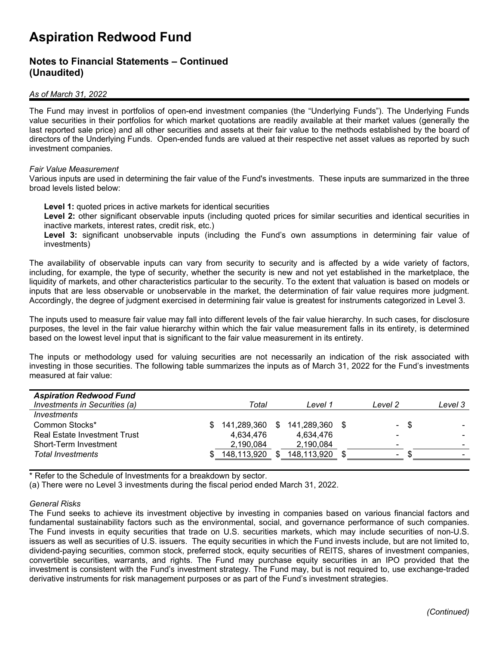#### **Notes to Financial Statements – Continued (Unaudited)**

#### *As of March 31, 2022*

The Fund may invest in portfolios of open-end investment companies (the "Underlying Funds"). The Underlying Funds value securities in their portfolios for which market quotations are readily available at their market values (generally the last reported sale price) and all other securities and assets at their fair value to the methods established by the board of directors of the Underlying Funds. Open-ended funds are valued at their respective net asset values as reported by such investment companies.

#### *Fair Value Measurement*

Various inputs are used in determining the fair value of the Fund's investments. These inputs are summarized in the three broad levels listed below:

**Level 1:** quoted prices in active markets for identical securities

**Level 2:** other significant observable inputs (including quoted prices for similar securities and identical securities in inactive markets, interest rates, credit risk, etc.)

**Level 3:** significant unobservable inputs (including the Fund's own assumptions in determining fair value of investments)

The availability of observable inputs can vary from security to security and is affected by a wide variety of factors, including, for example, the type of security, whether the security is new and not yet established in the marketplace, the liquidity of markets, and other characteristics particular to the security. To the extent that valuation is based on models or inputs that are less observable or unobservable in the market, the determination of fair value requires more judgment. Accordingly, the degree of judgment exercised in determining fair value is greatest for instruments categorized in Level 3.

The inputs used to measure fair value may fall into different levels of the fair value hierarchy. In such cases, for disclosure purposes, the level in the fair value hierarchy within which the fair value measurement falls in its entirety, is determined based on the lowest level input that is significant to the fair value measurement in its entirety.

The inputs or methodology used for valuing securities are not necessarily an indication of the risk associated with investing in those securities. The following table summarizes the inputs as of March 31, 2022 for the Fund's investments measured at fair value:

| <b>Aspiration Redwood Fund</b>      |     |                |             |                          |      |         |
|-------------------------------------|-----|----------------|-------------|--------------------------|------|---------|
| Investments in Securities (a)       |     | Total          | Level 1     | Level 2                  |      | Level 3 |
| <i>Investments</i>                  |     |                |             |                          |      |         |
| Common Stocks*                      | SS. | 141,289,360 \$ | 141.289.360 | $\sim$                   | - \$ |         |
| <b>Real Estate Investment Trust</b> |     | 4.634.476      | 4,634,476   | $\overline{\phantom{0}}$ |      |         |
| Short-Term Investment               |     | 2,190,084      | 2,190,084   | -                        |      | -       |
| <b>Total Investments</b>            |     | 148,113,920    | 148,113,920 | $\overline{\phantom{a}}$ |      | -       |

\* Refer to the Schedule of Investments for a breakdown by sector.

(a) There were no Level 3 investments during the fiscal period ended March 31, 2022.

#### *General Risks*

The Fund seeks to achieve its investment objective by investing in companies based on various financial factors and fundamental sustainability factors such as the environmental, social, and governance performance of such companies. The Fund invests in equity securities that trade on U.S. securities markets, which may include securities of non-U.S. issuers as well as securities of U.S. issuers. The equity securities in which the Fund invests include, but are not limited to, dividend-paying securities, common stock, preferred stock, equity securities of REITS, shares of investment companies, convertible securities, warrants, and rights. The Fund may purchase equity securities in an IPO provided that the investment is consistent with the Fund's investment strategy. The Fund may, but is not required to, use exchange-traded derivative instruments for risk management purposes or as part of the Fund's investment strategies.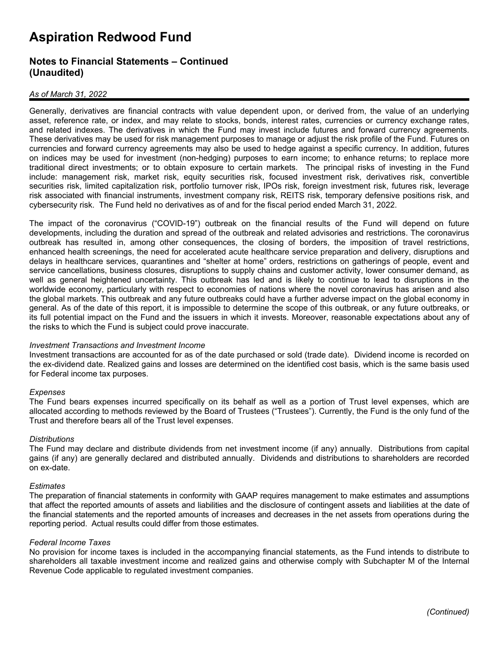#### **Notes to Financial Statements – Continued (Unaudited)**

#### *As of March 31, 2022*

Generally, derivatives are financial contracts with value dependent upon, or derived from, the value of an underlying asset, reference rate, or index, and may relate to stocks, bonds, interest rates, currencies or currency exchange rates, and related indexes. The derivatives in which the Fund may invest include futures and forward currency agreements. These derivatives may be used for risk management purposes to manage or adjust the risk profile of the Fund. Futures on currencies and forward currency agreements may also be used to hedge against a specific currency. In addition, futures on indices may be used for investment (non-hedging) purposes to earn income; to enhance returns; to replace more traditional direct investments; or to obtain exposure to certain markets. The principal risks of investing in the Fund include: management risk, market risk, equity securities risk, focused investment risk, derivatives risk, convertible securities risk, limited capitalization risk, portfolio turnover risk, IPOs risk, foreign investment risk, futures risk, leverage risk associated with financial instruments, investment company risk, REITS risk, temporary defensive positions risk, and cybersecurity risk. The Fund held no derivatives as of and for the fiscal period ended March 31, 2022.

The impact of the coronavirus ("COVID-19") outbreak on the financial results of the Fund will depend on future developments, including the duration and spread of the outbreak and related advisories and restrictions. The coronavirus outbreak has resulted in, among other consequences, the closing of borders, the imposition of travel restrictions, enhanced health screenings, the need for accelerated acute healthcare service preparation and delivery, disruptions and delays in healthcare services, quarantines and "shelter at home" orders, restrictions on gatherings of people, event and service cancellations, business closures, disruptions to supply chains and customer activity, lower consumer demand, as well as general heightened uncertainty. This outbreak has led and is likely to continue to lead to disruptions in the worldwide economy, particularly with respect to economies of nations where the novel coronavirus has arisen and also the global markets. This outbreak and any future outbreaks could have a further adverse impact on the global economy in general. As of the date of this report, it is impossible to determine the scope of this outbreak, or any future outbreaks, or its full potential impact on the Fund and the issuers in which it invests. Moreover, reasonable expectations about any of the risks to which the Fund is subject could prove inaccurate.

#### *Investment Transactions and Investment Income*

Investment transactions are accounted for as of the date purchased or sold (trade date). Dividend income is recorded on the ex-dividend date. Realized gains and losses are determined on the identified cost basis, which is the same basis used for Federal income tax purposes.

#### *Expenses*

The Fund bears expenses incurred specifically on its behalf as well as a portion of Trust level expenses, which are allocated according to methods reviewed by the Board of Trustees ("Trustees"). Currently, the Fund is the only fund of the Trust and therefore bears all of the Trust level expenses.

#### *Distributions*

The Fund may declare and distribute dividends from net investment income (if any) annually. Distributions from capital gains (if any) are generally declared and distributed annually. Dividends and distributions to shareholders are recorded on ex-date.

#### *Estimates*

The preparation of financial statements in conformity with GAAP requires management to make estimates and assumptions that affect the reported amounts of assets and liabilities and the disclosure of contingent assets and liabilities at the date of the financial statements and the reported amounts of increases and decreases in the net assets from operations during the reporting period. Actual results could differ from those estimates.

#### *Federal Income Taxes*

No provision for income taxes is included in the accompanying financial statements, as the Fund intends to distribute to shareholders all taxable investment income and realized gains and otherwise comply with Subchapter M of the Internal Revenue Code applicable to regulated investment companies.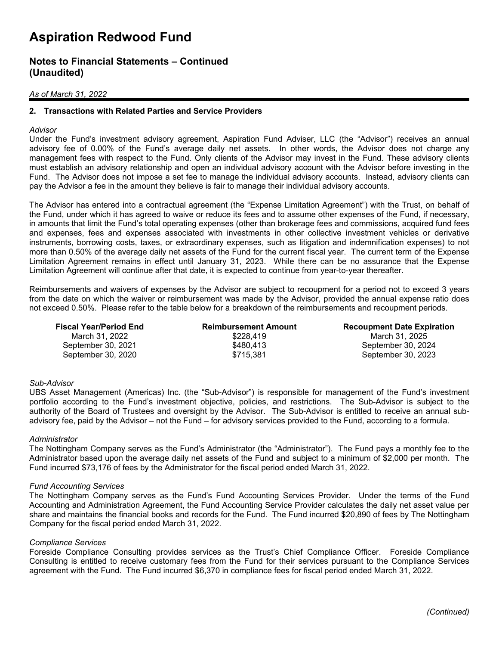#### **Notes to Financial Statements – Continued (Unaudited)**

#### *As of March 31, 2022*

#### **2. Transactions with Related Parties and Service Providers**

#### *Advisor*

Under the Fund's investment advisory agreement, Aspiration Fund Adviser, LLC (the "Advisor") receives an annual advisory fee of 0.00% of the Fund's average daily net assets. In other words, the Advisor does not charge any management fees with respect to the Fund. Only clients of the Advisor may invest in the Fund. These advisory clients must establish an advisory relationship and open an individual advisory account with the Advisor before investing in the Fund. The Advisor does not impose a set fee to manage the individual advisory accounts. Instead, advisory clients can pay the Advisor a fee in the amount they believe is fair to manage their individual advisory accounts.

The Advisor has entered into a contractual agreement (the "Expense Limitation Agreement") with the Trust, on behalf of the Fund, under which it has agreed to waive or reduce its fees and to assume other expenses of the Fund, if necessary, in amounts that limit the Fund's total operating expenses (other than brokerage fees and commissions, acquired fund fees and expenses, fees and expenses associated with investments in other collective investment vehicles or derivative instruments, borrowing costs, taxes, or extraordinary expenses, such as litigation and indemnification expenses) to not more than 0.50% of the average daily net assets of the Fund for the current fiscal year. The current term of the Expense Limitation Agreement remains in effect until January 31, 2023. While there can be no assurance that the Expense Limitation Agreement will continue after that date, it is expected to continue from year-to-year thereafter.

Reimbursements and waivers of expenses by the Advisor are subject to recoupment for a period not to exceed 3 years from the date on which the waiver or reimbursement was made by the Advisor, provided the annual expense ratio does not exceed 0.50%. Please refer to the table below for a breakdown of the reimbursements and recoupment periods.

| <b>Fiscal Year/Period End</b> | <b>Reimbursement Amount</b> | <b>Recoupment Date Expiration</b> |
|-------------------------------|-----------------------------|-----------------------------------|
| March 31, 2022                | \$228.419                   | March 31, 2025                    |
| September 30, 2021            | \$480.413                   | September 30, 2024                |
| September 30, 2020            | \$715.381                   | September 30, 2023                |

#### *Sub-Advisor*

UBS Asset Management (Americas) Inc. (the "Sub-Advisor") is responsible for management of the Fund's investment portfolio according to the Fund's investment objective, policies, and restrictions. The Sub-Advisor is subject to the authority of the Board of Trustees and oversight by the Advisor. The Sub-Advisor is entitled to receive an annual subadvisory fee, paid by the Advisor – not the Fund – for advisory services provided to the Fund, according to a formula.

#### *Administrator*

The Nottingham Company serves as the Fund's Administrator (the "Administrator"). The Fund pays a monthly fee to the Administrator based upon the average daily net assets of the Fund and subject to a minimum of \$2,000 per month. The Fund incurred \$73,176 of fees by the Administrator for the fiscal period ended March 31, 2022.

#### *Fund Accounting Services*

The Nottingham Company serves as the Fund's Fund Accounting Services Provider. Under the terms of the Fund Accounting and Administration Agreement, the Fund Accounting Service Provider calculates the daily net asset value per share and maintains the financial books and records for the Fund. The Fund incurred \$20,890 of fees by The Nottingham Company for the fiscal period ended March 31, 2022.

#### *Compliance Services*

Foreside Compliance Consulting provides services as the Trust's Chief Compliance Officer. Foreside Compliance Consulting is entitled to receive customary fees from the Fund for their services pursuant to the Compliance Services agreement with the Fund. The Fund incurred \$6,370 in compliance fees for fiscal period ended March 31, 2022.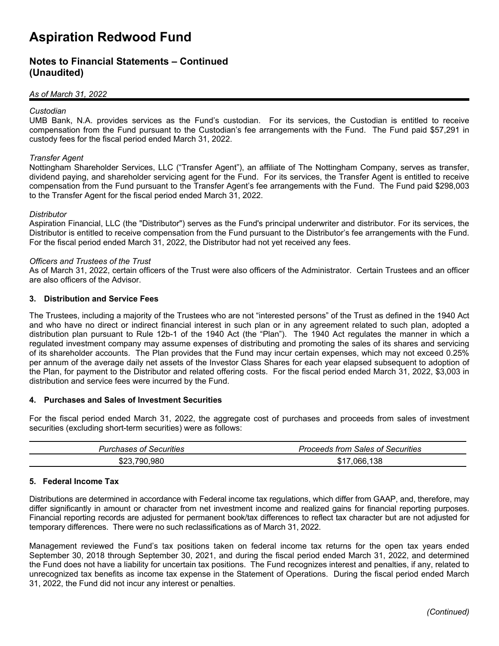#### **Notes to Financial Statements – Continued (Unaudited)**

#### *As of March 31, 2022*

#### *Custodian*

UMB Bank, N.A. provides services as the Fund's custodian. For its services, the Custodian is entitled to receive compensation from the Fund pursuant to the Custodian's fee arrangements with the Fund. The Fund paid \$57,291 in custody fees for the fiscal period ended March 31, 2022.

#### *Transfer Agent*

Nottingham Shareholder Services, LLC ("Transfer Agent"), an affiliate of The Nottingham Company, serves as transfer, dividend paying, and shareholder servicing agent for the Fund. For its services, the Transfer Agent is entitled to receive compensation from the Fund pursuant to the Transfer Agent's fee arrangements with the Fund. The Fund paid \$298,003 to the Transfer Agent for the fiscal period ended March 31, 2022.

#### *Distributor*

Aspiration Financial, LLC (the "Distributor") serves as the Fund's principal underwriter and distributor. For its services, the Distributor is entitled to receive compensation from the Fund pursuant to the Distributor's fee arrangements with the Fund. For the fiscal period ended March 31, 2022, the Distributor had not yet received any fees.

#### *Officers and Trustees of the Trust*

As of March 31, 2022, certain officers of the Trust were also officers of the Administrator. Certain Trustees and an officer are also officers of the Advisor.

#### **3. Distribution and Service Fees**

The Trustees, including a majority of the Trustees who are not "interested persons" of the Trust as defined in the 1940 Act and who have no direct or indirect financial interest in such plan or in any agreement related to such plan, adopted a distribution plan pursuant to Rule 12b-1 of the 1940 Act (the "Plan"). The 1940 Act regulates the manner in which a regulated investment company may assume expenses of distributing and promoting the sales of its shares and servicing of its shareholder accounts. The Plan provides that the Fund may incur certain expenses, which may not exceed 0.25% per annum of the average daily net assets of the Investor Class Shares for each year elapsed subsequent to adoption of the Plan, for payment to the Distributor and related offering costs. For the fiscal period ended March 31, 2022, \$3,003 in distribution and service fees were incurred by the Fund.

#### **4. Purchases and Sales of Investment Securities**

For the fiscal period ended March 31, 2022, the aggregate cost of purchases and proceeds from sales of investment securities (excluding short-term securities) were as follows:

| <br><i>Purchases of Securities</i> | <br>Sales of Securities<br>trom.<br>Proceeds |
|------------------------------------|----------------------------------------------|
| .980                               | 138                                          |
| 790                                | 966                                          |
| ა∠ა.                               | J.                                           |

#### **5. Federal Income Tax**

Distributions are determined in accordance with Federal income tax regulations, which differ from GAAP, and, therefore, may differ significantly in amount or character from net investment income and realized gains for financial reporting purposes. Financial reporting records are adjusted for permanent book/tax differences to reflect tax character but are not adjusted for temporary differences. There were no such reclassifications as of March 31, 2022.

Management reviewed the Fund's tax positions taken on federal income tax returns for the open tax years ended September 30, 2018 through September 30, 2021, and during the fiscal period ended March 31, 2022, and determined the Fund does not have a liability for uncertain tax positions. The Fund recognizes interest and penalties, if any, related to unrecognized tax benefits as income tax expense in the Statement of Operations. During the fiscal period ended March 31, 2022, the Fund did not incur any interest or penalties.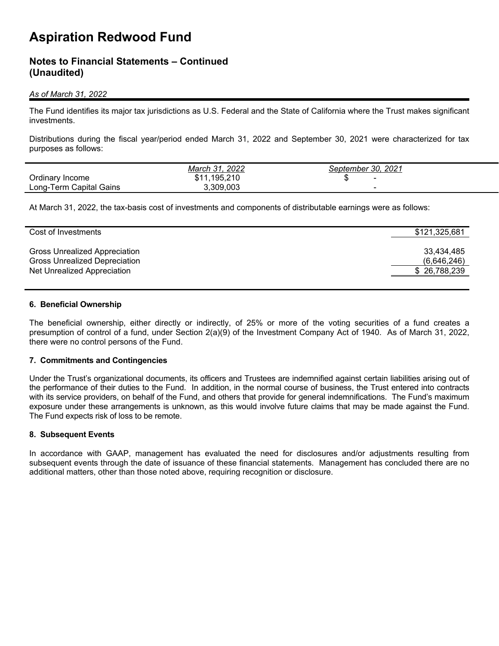#### **Notes to Financial Statements – Continued (Unaudited)**

#### *As of March 31, 2022*

The Fund identifies its major tax jurisdictions as U.S. Federal and the State of California where the Trust makes significant investments.

Distributions during the fiscal year/period ended March 31, 2022 and September 30, 2021 were characterized for tax purposes as follows:

|                                   | 2022<br>March 31                | 2021<br>30.<br>September |  |
|-----------------------------------|---------------------------------|--------------------------|--|
| Ordinary Income                   | .195.210<br><b>ሰ</b> 4 4<br>ונט | $\overline{\phantom{0}}$ |  |
| <b>Capital Gains</b><br>Long-Term | 3,309,003                       | $\overline{\phantom{0}}$ |  |

At March 31, 2022, the tax-basis cost of investments and components of distributable earnings were as follows:

| Cost of Investments                  | \$121,325,681 |
|--------------------------------------|---------------|
| <b>Gross Unrealized Appreciation</b> | 33.434.485    |
| <b>Gross Unrealized Depreciation</b> | (6,646,246)   |
| Net Unrealized Appreciation          | \$26,788,239  |

#### **6. Beneficial Ownership**

The beneficial ownership, either directly or indirectly, of 25% or more of the voting securities of a fund creates a presumption of control of a fund, under Section 2(a)(9) of the Investment Company Act of 1940. As of March 31, 2022, there were no control persons of the Fund.

#### **7. Commitments and Contingencies**

Under the Trust's organizational documents, its officers and Trustees are indemnified against certain liabilities arising out of the performance of their duties to the Fund. In addition, in the normal course of business, the Trust entered into contracts with its service providers, on behalf of the Fund, and others that provide for general indemnifications. The Fund's maximum exposure under these arrangements is unknown, as this would involve future claims that may be made against the Fund. The Fund expects risk of loss to be remote.

#### **8. Subsequent Events**

In accordance with GAAP, management has evaluated the need for disclosures and/or adjustments resulting from subsequent events through the date of issuance of these financial statements. Management has concluded there are no additional matters, other than those noted above, requiring recognition or disclosure.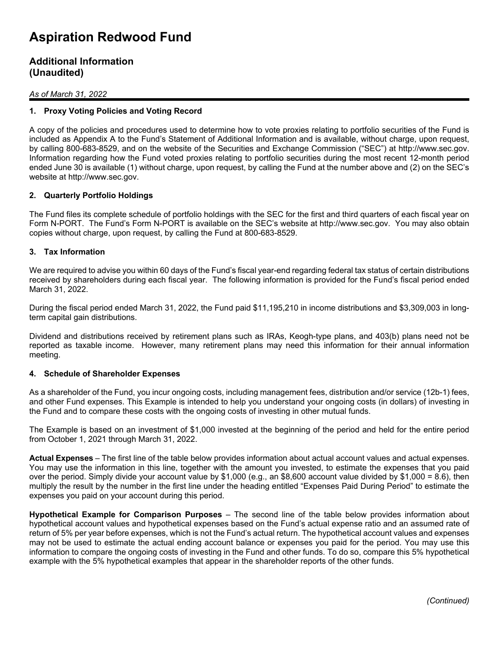#### **Additional Information (Unaudited)**

#### *As of March 31, 2022*

#### **1. Proxy Voting Policies and Voting Record**

A copy of the policies and procedures used to determine how to vote proxies relating to portfolio securities of the Fund is included as Appendix A to the Fund's Statement of Additional Information and is available, without charge, upon request, by calling 800-683-8529, and on the website of the Securities and Exchange Commission ("SEC") at http://www.sec.gov. Information regarding how the Fund voted proxies relating to portfolio securities during the most recent 12-month period ended June 30 is available (1) without charge, upon request, by calling the Fund at the number above and (2) on the SEC's website at http://www.sec.gov.

#### **2. Quarterly Portfolio Holdings**

The Fund files its complete schedule of portfolio holdings with the SEC for the first and third quarters of each fiscal year on Form N-PORT. The Fund's Form N-PORT is available on the SEC's website at http://www.sec.gov. You may also obtain copies without charge, upon request, by calling the Fund at 800-683-8529.

#### **3. Tax Information**

We are required to advise you within 60 days of the Fund's fiscal year-end regarding federal tax status of certain distributions received by shareholders during each fiscal year. The following information is provided for the Fund's fiscal period ended March 31, 2022.

During the fiscal period ended March 31, 2022, the Fund paid \$11,195,210 in income distributions and \$3,309,003 in longterm capital gain distributions.

Dividend and distributions received by retirement plans such as IRAs, Keogh-type plans, and 403(b) plans need not be reported as taxable income. However, many retirement plans may need this information for their annual information meeting.

#### **4. Schedule of Shareholder Expenses**

As a shareholder of the Fund, you incur ongoing costs, including management fees, distribution and/or service (12b-1) fees, and other Fund expenses. This Example is intended to help you understand your ongoing costs (in dollars) of investing in the Fund and to compare these costs with the ongoing costs of investing in other mutual funds.

The Example is based on an investment of \$1,000 invested at the beginning of the period and held for the entire period from October 1, 2021 through March 31, 2022.

**Actual Expenses** – The first line of the table below provides information about actual account values and actual expenses. You may use the information in this line, together with the amount you invested, to estimate the expenses that you paid over the period. Simply divide your account value by \$1,000 (e.g., an \$8,600 account value divided by \$1,000 = 8.6), then multiply the result by the number in the first line under the heading entitled "Expenses Paid During Period" to estimate the expenses you paid on your account during this period.

**Hypothetical Example for Comparison Purposes** – The second line of the table below provides information about hypothetical account values and hypothetical expenses based on the Fund's actual expense ratio and an assumed rate of return of 5% per year before expenses, which is not the Fund's actual return. The hypothetical account values and expenses may not be used to estimate the actual ending account balance or expenses you paid for the period. You may use this information to compare the ongoing costs of investing in the Fund and other funds. To do so, compare this 5% hypothetical example with the 5% hypothetical examples that appear in the shareholder reports of the other funds.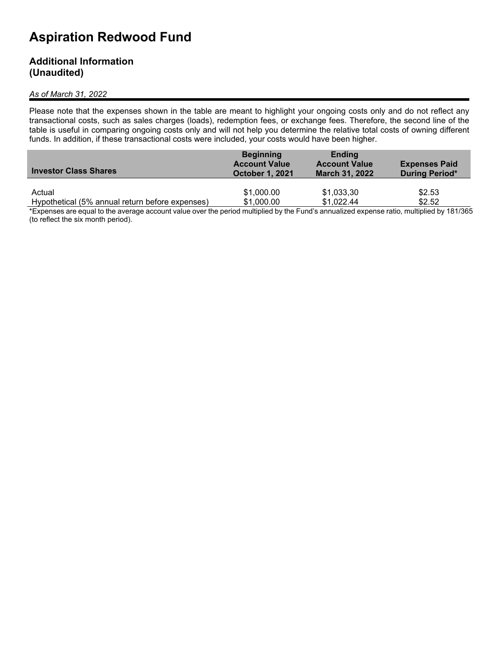#### **Additional Information (Unaudited)**

#### *As of March 31, 2022*

Please note that the expenses shown in the table are meant to highlight your ongoing costs only and do not reflect any transactional costs, such as sales charges (loads), redemption fees, or exchange fees. Therefore, the second line of the table is useful in comparing ongoing costs only and will not help you determine the relative total costs of owning different funds. In addition, if these transactional costs were included, your costs would have been higher.

| <b>Investor Class Shares</b>                    | <b>Beginning</b><br><b>Account Value</b><br><b>October 1, 2021</b> | <b>Ending</b><br><b>Account Value</b><br><b>March 31, 2022</b> | <b>Expenses Paid</b><br><b>During Period*</b> |
|-------------------------------------------------|--------------------------------------------------------------------|----------------------------------------------------------------|-----------------------------------------------|
| Actual                                          | \$1,000.00                                                         | \$1,033,30                                                     | \$2.53                                        |
| Hypothetical (5% annual return before expenses) | \$1,000.00                                                         | \$1,022.44                                                     | \$2.52                                        |

\*Expenses are equal to the average account value over the period multiplied by the Fund's annualized expense ratio, multiplied by 181/365 (to reflect the six month period).